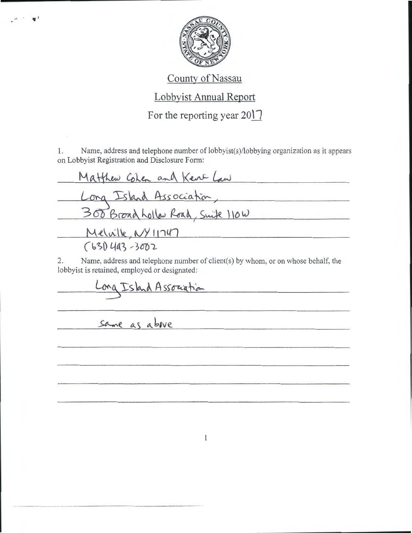

## County of Nassau

## Lobbyist Annual Report

For the reporting year  $20\vert\bar{ } \vert$ 

1. Name, address and telephone number of lobbyist(s)/lobbying organization as it appears on Lobbyist Registration and Disclosure Form:

Matthew Colen and Kene Law Long Island Association,<br>300 Broad hollar Road, Suite 110W Meluille NY 11747  $(631)$  443-3002

2. Name, address and telephone number of client(s) by whom, or on whose behalf, the lobbyist is retained, employed or designated:

ong Island Association

same as above

 $n + \frac{1}{2}$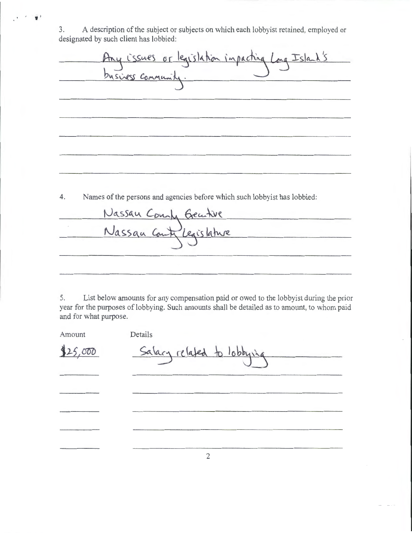3. A description of the subject or subjects on which each lobbyist retained, employed or designated by such client has lobbied:

' *'j* 

legislation impacting Long Island's Lissues  $01$ business Communis

4. Names of the persons and agencies before which such lobbyist has lobbied:

Nassau Count Geatre Nassau Ca eaislature

5. List below amounts for any compensation paid or owed to the lobbyist during the prior year for the purposes of lobbying. Such amounts shall be detailed as to amount, to whom paid and for what purpose.

| Amount  | Details                    |
|---------|----------------------------|
| 125,000 | Salary related to lobbying |
|         |                            |
|         |                            |
|         |                            |
|         |                            |

2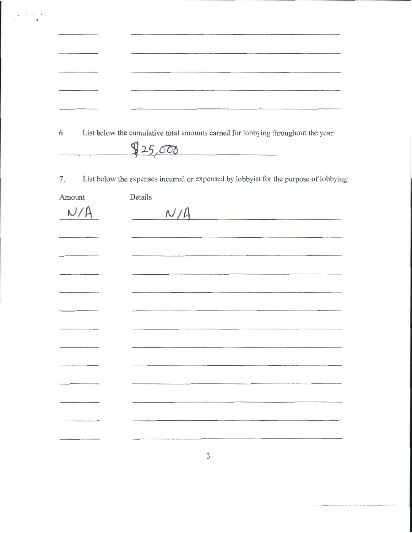6. List below **the** cumulative total amounts earned for lobbying throughout the year:

 $825,000$ 

7. List below **the** expenses incurred or expensed by lobbyist for the purpose of lobbying:

| Amount | Details     |
|--------|-------------|
| N/A    | $N/\Lambda$ |
|        |             |
|        |             |
|        |             |
|        |             |
|        |             |
|        |             |
|        |             |
|        |             |
|        |             |
|        |             |
|        |             |
|        |             |

3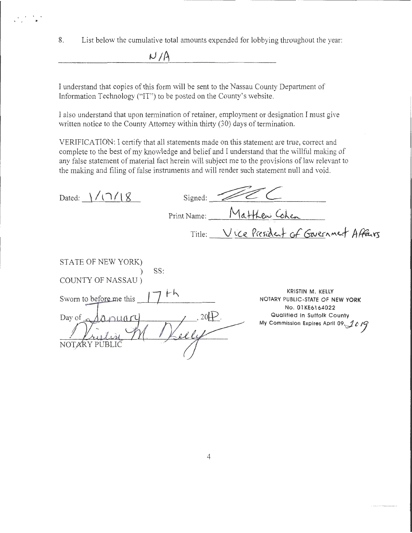8. List below the cumulative total amounts expended for lobbying throughout the year:

 $r$ 

I understand that copies of this form will be sent to the Nassau County Department of Information Technology ("IT") to be posted on the County's website.

I also understand that upon termination of retainer, employment or designation I must give written notice to the County Attorney within thirty (30) days of termination.

VERIFICATION: I certify that all statements made on this statement are true, correct and complete to the best of my knowledge and belief and I understand that the willful making of any false statement of material fact herein will subject me to the provisions of law relevant to the making and filing of false instruments and will render such statement null and void.

| 2/18<br>Dated: $\vert$                                                                                        | Signed:              |                                                                                                                                                   |
|---------------------------------------------------------------------------------------------------------------|----------------------|---------------------------------------------------------------------------------------------------------------------------------------------------|
|                                                                                                               | Print Name:          | Matthew Cohen                                                                                                                                     |
|                                                                                                               |                      | Title: Vice President of Gavernment Affairs                                                                                                       |
| STATE OF NEW YORK)<br>COUNTY OF NASSAU)<br>Sworn to before me this<br>Day of $\alpha$<br>Lanuar<br>ARY PUBLIC | SS:<br>th<br>$20H$ . | KRISTIN M. KELLY<br>NOTARY PUBLIC-STATE OF NEW YORK<br>No. 01KE6164022<br>Qualified in Suffolk County<br>My Commission Expires April 09, $10^{9}$ |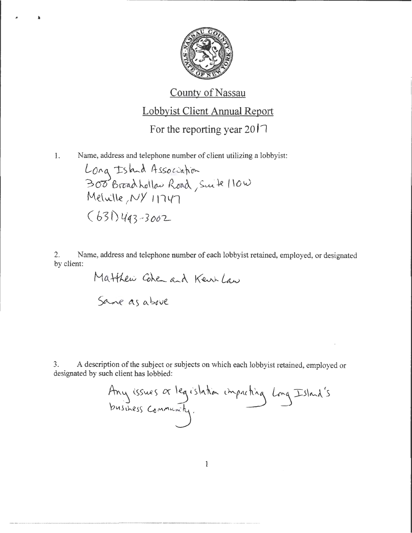

## County of Nassau

## Lobbyist Client Annual Report

For the reporting year  $20\text{I}$ 

1. Name, address and telephone number of client utilizing a lobbyist:

 $\mathbf{r}$ 

Long Ishad Association  $300$  Broad Lollar Road, Suite 110W Meluille, NY 11747 ( *b* 3 f) lfef3 -- *3 ooL-*

2. Name, address and telephone number of each lobbyist retained, employed, or designated by client:

> Matthew Cohen and Kentland Same as above

3. A description of the subject or subjects on which each lobbyist retained, employed or designated by such client has lobbied:

Any issues or legislation impacting Long Island's<br>business community.

1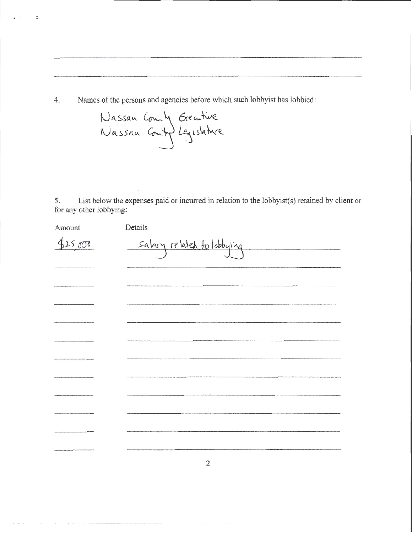4. Names of the persons and agencies before which such lobbyist has lobbied:

ä

5. List below the expenses paid or incurred in relation to the lobbyist(s) retained by client or for any other lobbying:

| Amount  | Details                    |
|---------|----------------------------|
| 425,000 | Salary related to lobbying |
|         |                            |
|         |                            |
|         |                            |
|         |                            |
|         |                            |
|         |                            |
|         |                            |
|         |                            |
|         |                            |
|         |                            |
|         |                            |

2

 $\mathcal{L}_{\mathcal{A}}$